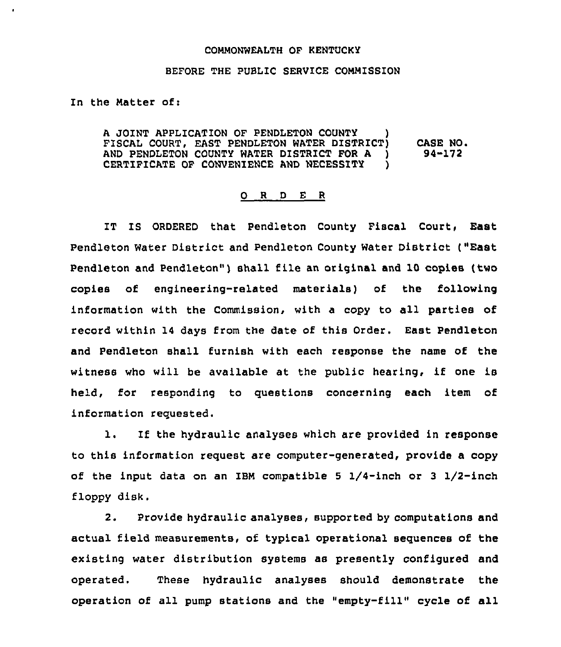## COMMONWEALTH OF KENTUCKY

## BEFORE THE PUBLIC SERVICE COMMISSION

In the Matter of:

 $\overline{a}$ 

A JOINT APPLICATION OF PENDLETON COUNTY FISCAL COURT, EAST PENDLETON WATER DISTRICT) AND PENDLETON COUNTY WATER DISTRICT FOR A )<br>CERTIFICATE OF CONVENIENCE AND NECESSITY CERTIFICATE OF CONVENIENCE AND NECESSITY CASE NO. 94-172

## 0 <sup>R</sup> <sup>D</sup> <sup>E</sup> <sup>R</sup>

IT IS ORDERED that Pendleton County Fiscal Court, East Pendleton Water District and Pendleton County Water District ("East Pendleton and Pendleton" ) shall file an original and 10 copies (two copies of engineering-related materials) of the following information with the Commission, with a copy to all parties of record within 14 days from the date of this Order. East Pendleton and Pendleton shall furnish with each response the name of the witness who will be available at the public hearing, if one is held, for responding to questions concerning each item of information requested.

l. If the hydraulic analyses which are provided in response to this information request are computer-generated, provide a copy of the input data on an IBM compatible 5  $1/4$ -inch or 3  $1/2$ -inch floppy disk.

2. Provide hydraulic analyses, supported by computations and actual field measurements, of typical operational sequences of the existing water distribution systems as presently configured and operated. These hydraulic analyses should demonstrate the operation of all pump stations and the "empty-fill" cycle of all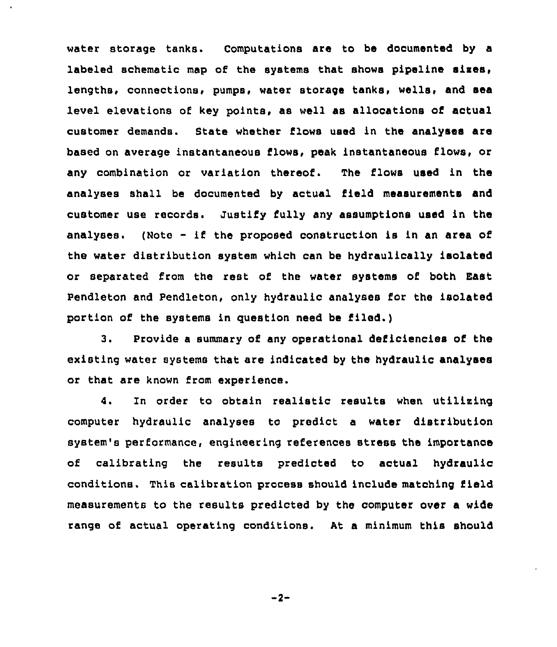water storage tanks. Computations are to be documented by a labeled schematic map of the systems that shows pipeline sizes, lengths, connections, pumps, water storage tanks, wells, and sea level elevations of key points, as well as allocations of actual customer demands. State whether flows used in the analyses are based on average instantaneous flows, peak instantaneous flows, or any combination or variation thereof. The flows used in the analyses shall be documented by actual field measurements and customer use records. Justify fully any assumptions used in the analyses. (Note - if the proposed construction is in an area of the water distribution system which can be hydraulically isolated or separated from the rest of the water systems of both East Pendleton and Pendleton, only hydraulic analyses for the isolated portion of the systems in guestion need be filed.)

3, Provide a summary of any operational deficiencies of the existing water systems that are indicated by the hydraulic analyses or that are known from experience.

4. In order to obtain realistic results when utilizing computer hydraulic analyses to predict a water distribution system's performance, engineering references stress the importance of calibrating the results predicted to actual hydraulic conditions. This calibration process should include matching field measurements to the results predicted by the computer over a wide range of actual operating conditions. At a minimum this should

 $-2-$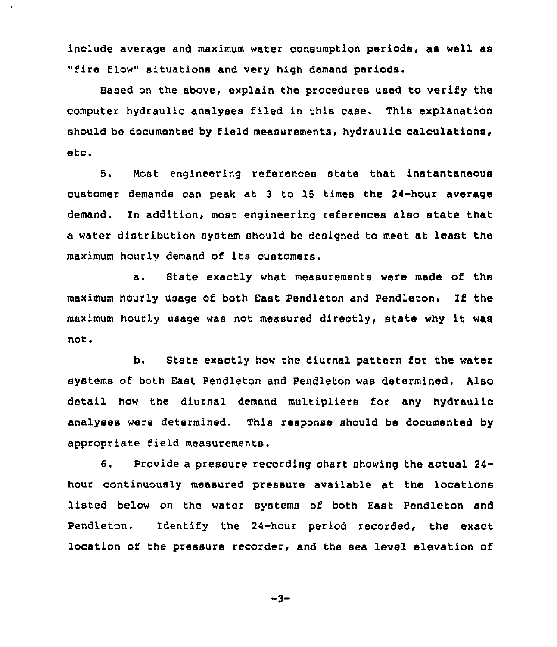include average and maximum water consumption periods, as well as "fire flow" situations and very high demand periods.

Based on the above, explain the procedures used to verify the computer hydraulic analyses filed in this case. This explanation should be documented by field measurements, hydraulic calculations, etc.

5, Most engineering references state that instantaneous customer demands can peak at <sup>3</sup> to 15 times the 24-hour average demand. ln addition, most engineering references also state that a water distribution system should be designed to meet at least the maximum hourly demand of its customers.

a. State exactly what measurements were made of the maximum hourly usage of both East Pendleton and Pendleton. If the maximum hourly usage was not measured directly, state why it was not.

b. State exactly how the diurnal pattern for the water systems of both East Pendleton and Pendleton was determined. Also detail how the diurnal demand multipliers for any hydraulic analyses were determined. This response should be documented by appropriate field measurements.

6. Provide a pressure recording chart showing the actual 24 hour continuously measured pressure available at the locations listed below on the water systems of both East Pendleton and Pendleton. Identify the 24-hour period recorded, the exact location of the pressure recorder, and the sea level elevation of

 $-3-$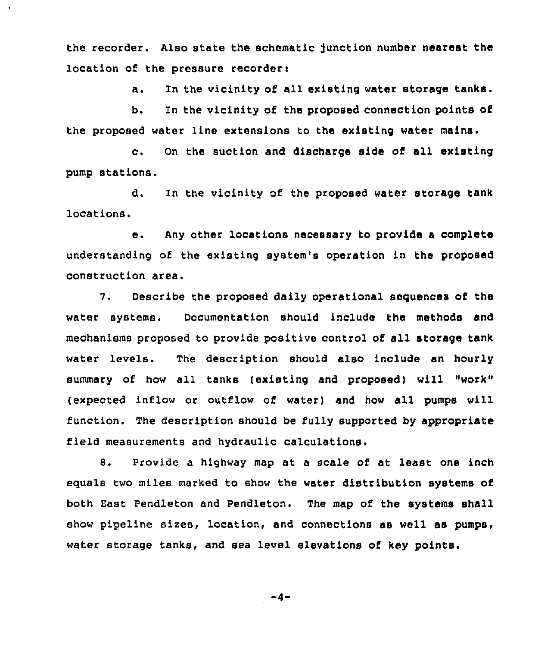the recorder. Also state the schematic junction number nearest the location of the pressure recorder:

a. In the vicinity of all existing water storage tanks.

b. In the vicinity of the proposed connection points of the proposed water line extensions to the existing water mains.

c. On the suction and discharge side of all existing pump stations.

d. In the vicinity of the proposed water storage tank locations.

e. Any other locations necessary to provide <sup>a</sup> complete understanding of the existing system's operation in the proposed construction area.

7. Describe the proposed daily operational sequences of the water systems. Documentation should include the methods and mechanisms proposed to provide positive control of all storage tank water levels. The description should also include an hourly summary of how all tanks (existing and proposed) will "work" (expected inflow or outflow of water) and how all pumps will function. The description should be fully supported by appropriate field measurements and hydraulic calculations.

8. provide a highway map at a scale of at least one inch equals two miles marked to show the water distribution systems of both East Pendleton and Pendleton. The map of the systems shall show pipeline sizes, location, and connections as well as pumps, water storage tanks, and sea level elevations of key points.

$$
-4-
$$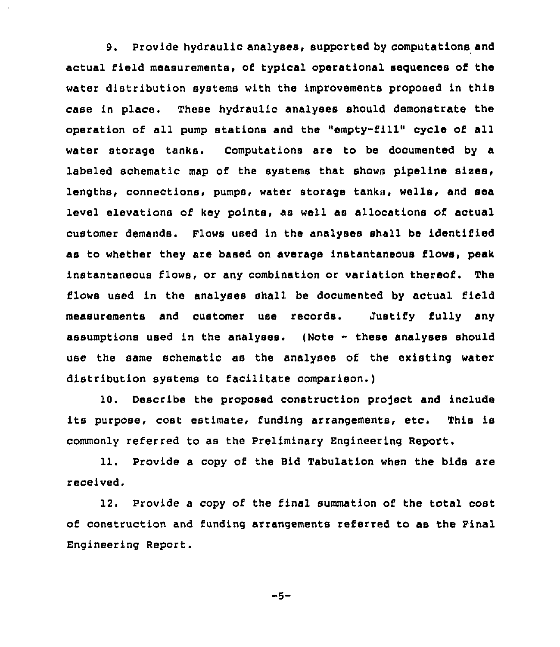9. Provide hydraulic analyses, supported by computations and actual field measurements, of typical operational sequences of the water distribution systems with the improvements proposed in this case in place. These hydraulic analyses should demonstrate the operation of all pump stations and the "empty-fill" cycle of all water storage tanks. Computations are to be documented by a labeled schematic map of the systems that shows pipeline sixes, lengths, connections, pumps, water storage tanks, wells, and sea level elevations of key points, as well as allocations of actual customer demands. Flows used in the analyses shall be identified as to whether they are based on average instantaneous flows, peak instantaneous flows, or any combination or variation thereof. The flows used in the analyses shall be documented by actual field measurements and customer use records. Justify fully any assumptions used in the analyses. (Note - these analyses should use the same schematic as the analyses of the existing water distribution systems to facilitate comparison.)

10. Describe the proposed construction project and include its purpose, cost estimate, funding arrangements, etc. This is commonly referred to as the Preliminary Engineering Report.

11. Provide a copy of the Bid Tabulation when the bids are received.

12. Provide a copy of the final summation of the total cost of construction and funding arrangements referred to as the Pinal Engineering Report.

$$
-5-
$$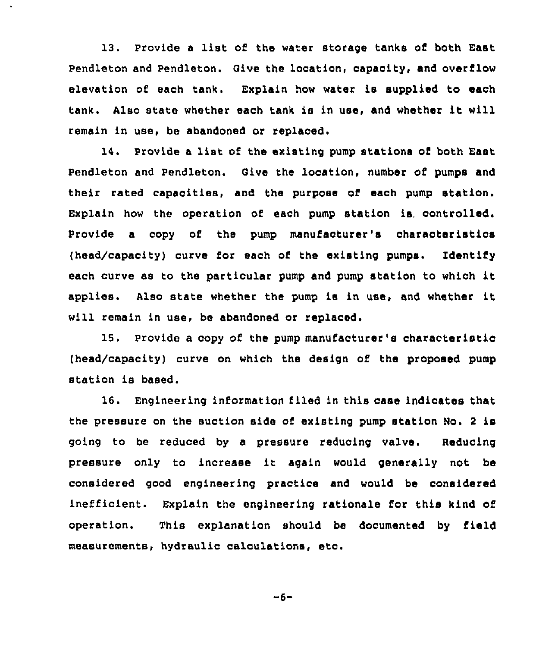13. Provide <sup>a</sup> list of the water storage tanks of both East Pendleton and Pendleton. Give the location, capacity, and overflow elevation of each tank. Explain how water is supplied to each tank. Also state whether each tank is in use, and whether it will remain in use, be abandoned or replaced.

14. Provide <sup>a</sup> list of the existing pump stations of both East Pendleton and Pendleton. Give the location, number of pumps and their rated capacities, and the purpose of each pump station. Explain how the operation of each pump station is, controlled. Provide a copy of the pump manufacturer's characteristics (head/capacity) curve for each of the existing pumps. Identify each curve as to the particular pump and pump station to which it applies, Also state whether the pump is in use, and whether it will remain in use, be abandoned or replaced.

15. Provide a copy of the pump manufacturer's characteristic (head/capacity) curve on which the design of the proposed pump station is based.

16. Engineering information filed in this case indicates that the pressure on the suction side of existing pump station No. <sup>2</sup> is going to be reduced by a pressure reducing valve. Reducing pressure only to increase it again would generally not be considered good engineering practice and would be considered inefficient. Explain the engineering rationale for this kind of operation. This explanation should be documented by field measurements, hydraulic calculations, etc.

 $-6-$